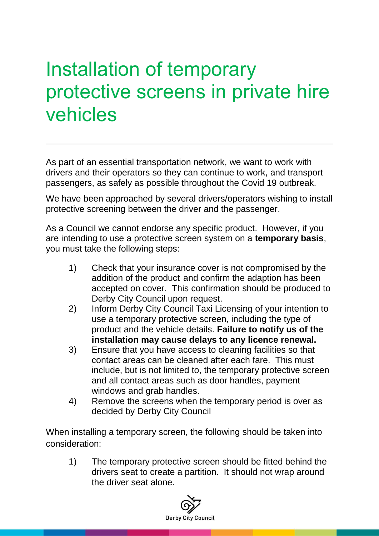## Installation of temporary protective screens in private hire vehicles

As part of an essential transportation network, we want to work with drivers and their operators so they can continue to work, and transport passengers, as safely as possible throughout the Covid 19 outbreak.

We have been approached by several drivers/operators wishing to install protective screening between the driver and the passenger.

As a Council we cannot endorse any specific product. However, if you are intending to use a protective screen system on a **temporary basis**, you must take the following steps:

- 1) Check that your insurance cover is not compromised by the addition of the product and confirm the adaption has been accepted on cover. This confirmation should be produced to Derby City Council upon request.
- 2) Inform Derby City Council Taxi Licensing of your intention to use a temporary protective screen, including the type of product and the vehicle details. **Failure to notify us of the installation may cause delays to any licence renewal.**
- 3) Ensure that you have access to cleaning facilities so that contact areas can be cleaned after each fare. This must include, but is not limited to, the temporary protective screen and all contact areas such as door handles, payment windows and grab handles.
- 4) Remove the screens when the temporary period is over as decided by Derby City Council

When installing a temporary screen, the following should be taken into consideration:

1) The temporary protective screen should be fitted behind the drivers seat to create a partition. It should not wrap around the driver seat alone.